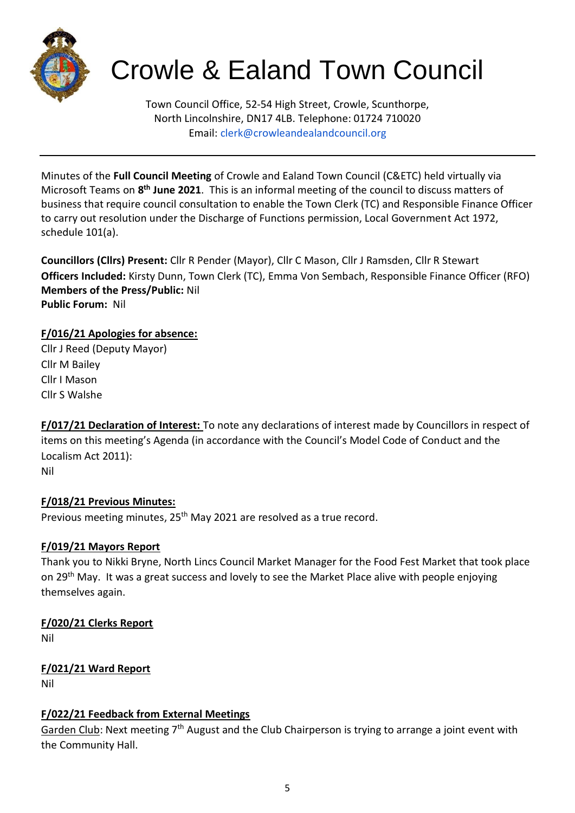

# Crowle & Ealand Town Council

Town Council Office, 52-54 High Street, Crowle, Scunthorpe, North Lincolnshire, DN17 4LB. Telephone: 01724 710020 Email: clerk@crowleandealandcouncil.org

Minutes of the **Full Council Meeting** of Crowle and Ealand Town Council (C&ETC) held virtually via Microsoft Teams on **8 th June 2021**. This is an informal meeting of the council to discuss matters of business that require council consultation to enable the Town Clerk (TC) and Responsible Finance Officer to carry out resolution under the Discharge of Functions permission, Local Government Act 1972, schedule 101(a).

**Councillors (Cllrs) Present:** Cllr R Pender (Mayor), Cllr C Mason, Cllr J Ramsden, Cllr R Stewart **Officers Included:** Kirsty Dunn, Town Clerk (TC), Emma Von Sembach, Responsible Finance Officer (RFO) **Members of the Press/Public:** Nil **Public Forum:** Nil

# **F/016/21 Apologies for absence:**

Cllr J Reed (Deputy Mayor) Cllr M Bailey Cllr I Mason Cllr S Walshe

**F/017/21 Declaration of Interest:** To note any declarations of interest made by Councillors in respect of items on this meeting's Agenda (in accordance with the Council's Model Code of Conduct and the Localism Act 2011): Nil

# **F/018/21 Previous Minutes:**

Previous meeting minutes, 25<sup>th</sup> May 2021 are resolved as a true record.

# **F/019/21 Mayors Report**

Thank you to Nikki Bryne, North Lincs Council Market Manager for the Food Fest Market that took place on 29<sup>th</sup> May. It was a great success and lovely to see the Market Place alive with people enjoying themselves again.

# **F/020/21 Clerks Report**

Nil

# **F/021/21 Ward Report**

Nil

# **F/022/21 Feedback from External Meetings**

Garden Club: Next meeting 7<sup>th</sup> August and the Club Chairperson is trying to arrange a joint event with the Community Hall.